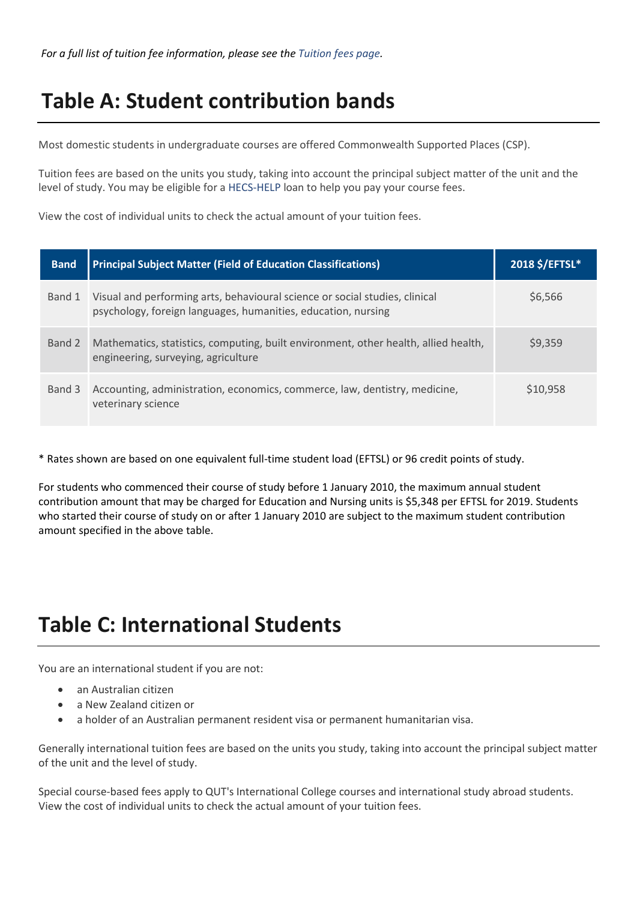## **Table A: Student contribution bands**

Most domestic students in undergraduate courses are offered Commonwealth Supported Places (CSP).

Tuition fees are based on the units you study, taking into account the principal subject matter of the unit and the level of study. You may be eligible for a [HECS-HELP](https://qutvirtual4.qut.edu.au/group/student/enrolment/your-fees/deferring-fees-through-help-loans/hecs-help) loan to help you pay your course fees.

View the cost of individual units to check the actual amount of your tuition fees.

| <b>Band</b> | <b>Principal Subject Matter (Field of Education Classifications)</b>                                                                         | 2018 \$/EFTSL* |
|-------------|----------------------------------------------------------------------------------------------------------------------------------------------|----------------|
| Band 1      | Visual and performing arts, behavioural science or social studies, clinical<br>psychology, foreign languages, humanities, education, nursing | \$6,566        |
| Band 2      | Mathematics, statistics, computing, built environment, other health, allied health,<br>engineering, surveying, agriculture                   | \$9,359        |
| Band 3      | Accounting, administration, economics, commerce, law, dentistry, medicine,<br>veterinary science                                             | \$10,958       |

\* Rates shown are based on one equivalent full-time student load (EFTSL) or 96 credit points of study.

For students who commenced their course of study before 1 January 2010, the maximum annual student contribution amount that may be charged for Education and Nursing units is \$5,348 per EFTSL for 2019. Students who started their course of study on or after 1 January 2010 are subject to the maximum student contribution amount specified in the above table.

### **Table C: International Students**

You are an international student if you are not:

- an Australian citizen
- a New Zealand citizen or
- a holder of an Australian permanent resident visa or permanent humanitarian visa.

Generally international tuition fees are based on the units you study, taking into account the principal subject matter of the unit and the level of study.

Special course-based fees apply to QUT's International College courses and international study abroad students. View the cost of individual units to check the actual amount of your tuition fees.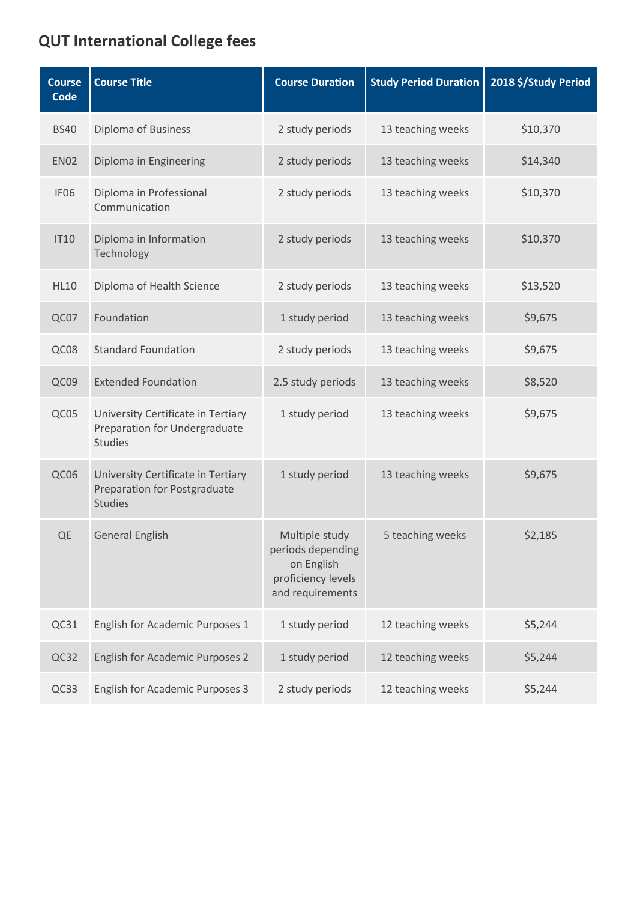#### **QUT International College fees**

| <b>Course</b><br>Code | <b>Course Title</b>                                                                         | <b>Course Duration</b>                                                                      | <b>Study Period Duration</b> | 2018 \$/Study Period |
|-----------------------|---------------------------------------------------------------------------------------------|---------------------------------------------------------------------------------------------|------------------------------|----------------------|
| <b>BS40</b>           | <b>Diploma of Business</b>                                                                  | 2 study periods                                                                             | 13 teaching weeks            | \$10,370             |
| <b>EN02</b>           | Diploma in Engineering                                                                      | 2 study periods                                                                             | 13 teaching weeks            | \$14,340             |
| IF <sub>06</sub>      | Diploma in Professional<br>Communication                                                    | 2 study periods                                                                             | 13 teaching weeks            | \$10,370             |
| <b>IT10</b>           | Diploma in Information<br>Technology                                                        | 2 study periods                                                                             | 13 teaching weeks            | \$10,370             |
| <b>HL10</b>           | Diploma of Health Science                                                                   | 2 study periods                                                                             | 13 teaching weeks            | \$13,520             |
| QC07                  | Foundation                                                                                  | 1 study period                                                                              | 13 teaching weeks            | \$9,675              |
| QC08                  | <b>Standard Foundation</b>                                                                  | 2 study periods                                                                             | 13 teaching weeks            | \$9,675              |
| QC09                  | <b>Extended Foundation</b>                                                                  | 2.5 study periods                                                                           | 13 teaching weeks            | \$8,520              |
| QC05                  | University Certificate in Tertiary<br>Preparation for Undergraduate<br><b>Studies</b>       | 1 study period                                                                              | 13 teaching weeks            | \$9,675              |
| QC06                  | University Certificate in Tertiary<br><b>Preparation for Postgraduate</b><br><b>Studies</b> | 1 study period                                                                              | 13 teaching weeks            | \$9,675              |
| QE                    | <b>General English</b>                                                                      | Multiple study<br>periods depending<br>on English<br>proficiency levels<br>and requirements | 5 teaching weeks             | \$2,185              |
| QC31                  | English for Academic Purposes 1                                                             | 1 study period                                                                              | 12 teaching weeks            | \$5,244              |
| QC32                  | <b>English for Academic Purposes 2</b>                                                      | 1 study period                                                                              | 12 teaching weeks            | \$5,244              |
| QC33                  | <b>English for Academic Purposes 3</b>                                                      | 2 study periods                                                                             | 12 teaching weeks            | \$5,244              |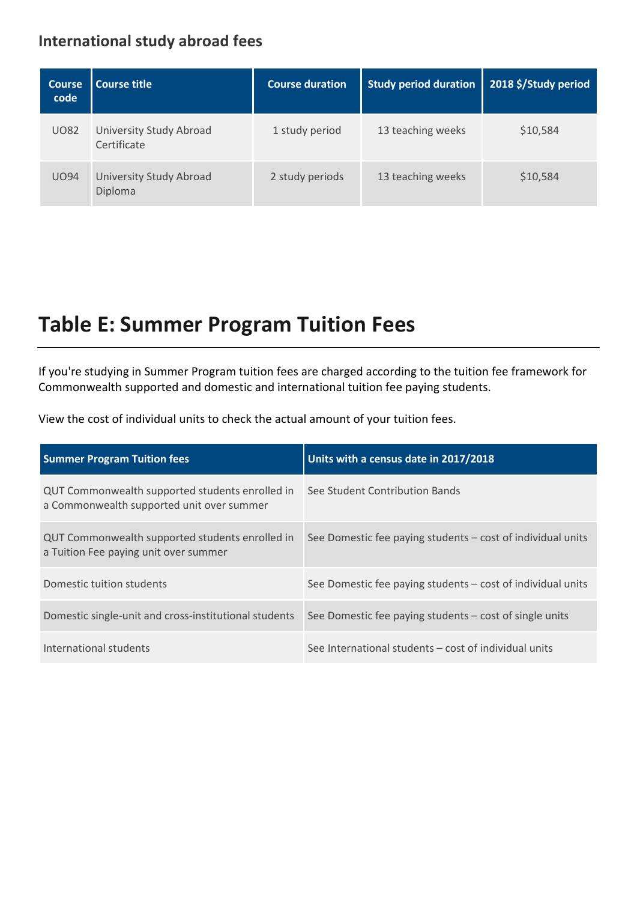#### **International study abroad fees**

| <b>Course</b><br>code | l Course title                            | <b>Course duration</b> | <b>Study period duration</b> | 2018 \$/Study period |
|-----------------------|-------------------------------------------|------------------------|------------------------------|----------------------|
| <b>UO82</b>           | University Study Abroad<br>Certificate    | 1 study period         | 13 teaching weeks            | \$10,584             |
| <b>UO94</b>           | <b>University Study Abroad</b><br>Diploma | 2 study periods        | 13 teaching weeks            | \$10,584             |

## **Table E: Summer Program Tuition Fees**

If you're studying in Summer Program tuition fees are charged according to the tuition fee framework for Commonwealth supported and domestic and international tuition fee paying students.

View the cost of individual units to check the actual amount of your tuition fees.

| <b>Summer Program Tuition fees</b>                                                           | Units with a census date in 2017/2018                       |
|----------------------------------------------------------------------------------------------|-------------------------------------------------------------|
| QUT Commonwealth supported students enrolled in<br>a Commonwealth supported unit over summer | See Student Contribution Bands                              |
| QUT Commonwealth supported students enrolled in<br>a Tuition Fee paying unit over summer     | See Domestic fee paying students – cost of individual units |
| Domestic tuition students                                                                    | See Domestic fee paying students – cost of individual units |
| Domestic single-unit and cross-institutional students                                        | See Domestic fee paying students – cost of single units     |
| International students                                                                       | See International students – cost of individual units       |